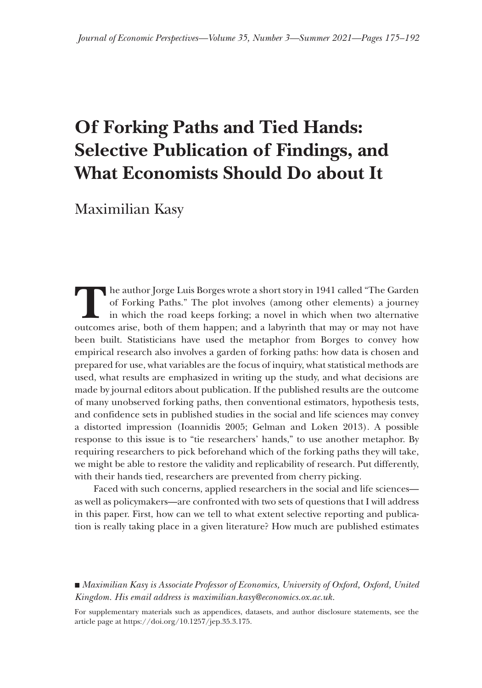# **Of Forking Paths and Tied Hands: Selective Publication of Findings, and What Economists Should Do about It**

Maximilian Kasy

The author Jorge Luis Borges wrote a short story in 1941 called "The Garden of Forking Paths." The plot involves (among other elements) a journey in which the road keeps forking; a novel in which when two alternative outco he author Jorge Luis Borges wrote a short story in 1941 called "The Garden of Forking Paths." The plot involves (among other elements) a journey in which the road keeps forking; a novel in which when two alternative been built. Statisticians have used the metaphor from Borges to convey how empirical research also involves a garden of forking paths: how data is chosen and prepared for use, what variables are the focus of inquiry, what statistical methods are used, what results are emphasized in writing up the study, and what decisions are made by journal editors about publication. If the published results are the outcome of many unobserved forking paths, then conventional estimators, hypothesis tests, and confidence sets in published studies in the social and life sciences may convey a distorted impression (Ioannidis 2005; Gelman and Loken 2013). A possible response to this issue is to "tie researchers' hands," to use another metaphor metaphor. By requiring researchers to pick beforehand which of the forking paths they will take, we might be able to restore the validity and replicability of research. Put differently, with their hands tied, researchers are prevented from cherry picking.

Faced with such concerns, applied researchers in the social and life sciences as well as policymakers—are confronted with two sets of questions that I will address in this paper. First, how can we tell to what extent selective reporting and publication is really taking place in a given literature? How much are published estimates

■ *Maximilian Kasy is Associate Professor of Economics, University of Oxford, Oxford, United Kingdom. His email address is maximilian.kasy@economics.ox.ac. ingdom. maximilian.kasy@economics.ox.ac.uk.*

For supplementary materials such as appendices, datasets, and author disclosure statements, see the article page at https://doi.org/10.1257/jep.35.3.175.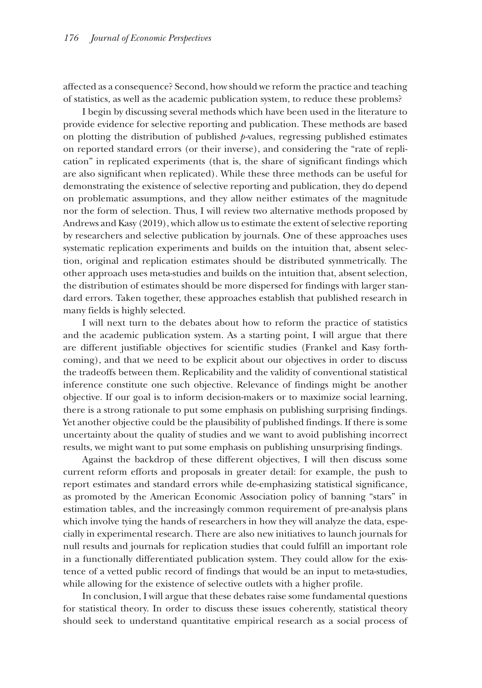affected as a consequence? Second, how should we reform the practice and teaching of statistics, as well as the academic publication system, to reduce these problems?

I begin by discussing several methods which have been used in the literature to provide evidence for selective reporting and publication. These methods are based on plotting the distribution of published *p*-values, regressing published estimates on reported standard errors (or their inverse), and considering the "rate of replication" in replicated experiments (that is, the share of significant findings which are also significant when replicated). While these three methods can be useful for demonstrating the existence of selective reporting and publication, they do depend on problematic assumptions, and they allow neither estimates of the magnitude nor the form of selection. Thus, I will review two alternative methods proposed by Andrews and Kasy (2019), which allow us to estimate the extent of selective reporting by researchers and selective publication by journals. One of these approaches uses systematic replication experiments and builds on the intuition that, absent selection, original and replication estimates should be distributed symmetrically. The other approach uses meta-studies and builds on the intuition that, absent selection, the distribution of estimates should be more dispersed for findings with larger standard errors. Taken together, these approaches establish that published research in many fields is highly selected.

I will next turn to the debates about how to reform the practice of statistics and the academic publication system. As a starting point, I will argue that there are different justifiable objectives for scientific studies (Frankel and Kasy forthcoming), and that we need to be explicit about our objectives in order to discuss the tradeoffs between them. Replicability and the validity of conventional statistical inference constitute one such objective. Relevance of findings might be another objective. If our goal is to inform decision-makers or to maximize social learning, there is a strong rationale to put some emphasis on publishing surprising findings. Yet another objective could be the plausibility of published findings. If there is some uncertainty about the quality of studies and we want to avoid publishing incorrect results, we might want to put some emphasis on publishing unsurprising findings.

Against the backdrop of these different objectives, I will then discuss some current reform efforts and proposals in greater detail: for example, the push to report estimates and standard errors while de-emphasizing statistical significance, as promoted by the American Economic Association policy of banning "stars" in estimation tables, and the increasingly common requirement of pre-analysis plans which involve tying the hands of researchers in how they will analyze the data, especially in experimental research. There are also new initiatives to launch journals for null results and journals for replication studies that could fulfill an important role in a functionally differentiated publication system. They could allow for the existence of a vetted public record of findings that would be an input to meta-studies, while allowing for the existence of selective outlets with a higher profile.

In conclusion, I will argue that these debates raise some fundamental questions for statistical theory. In order to discuss these issues coherently, statistical theory should seek to understand quantitative empirical research as a social process of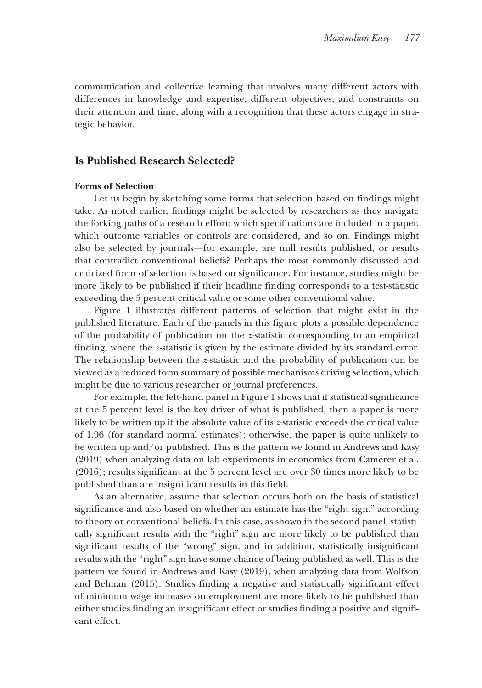communication and collective learning that involves many different actors with differences in knowledge and expertise, different objectives, and constraints on their attention and time, along with a recognition that these actors engage in strategic behavior.

## **Is Published Research Selected?**

## **Forms of Selection**

Let us begin by sketching some forms that selection based on findings might take. As noted earlier, findings might be selected by researchers as they navigate the forking paths of a research effort: which specifications are included in a paper, which outcome variables or controls are considered, and so on. Findings might also be selected by journals—for example, are null results published, or results that contradict conventional beliefs? Perhaps the most commonly discussed and criticized form of selection is based on significance. For instance, studies might be more likely to be published if their headline finding corresponds to a test-statistic exceeding the 5 percent critical value or some other conventional value.

Figure 1 illustrates different patterns of selection that might exist in the published literature. Each of the panels in this figure plots a possible dependence of the probability of publication on the *z*-statistic corresponding to an empirical finding, where the *z*-statistic is given by the estimate divided by its standard error. The relationship between the *z*-statistic and the probability of publication can be viewed as a reduced form summary of possible mechanisms driving selection, which might be due to various researcher or journal preferences.

For example, the left-hand panel in Figure 1 shows that if statistical significance at the 5 percent level is the key driver of what is published, then a paper is more likely to be written up if the absolute value of its *z*-statistic exceeds the critical value of 1.96 (for standard normal estimates): otherwise, the paper is quite unlikely to be written up and/or published. This is the pattern we found in Andrews and Kasy (2019) when analyzing data on lab experiments in economics from Camerer et al. (2016); results significant at the 5 percent level are over 30 times more likely to be published than are insignificant results in this field.

As an alternative, assume that selection occurs both on the basis of statistical significance and also based on whether an estimate has the "right sign," according to theory or conventional beliefs. In this case, as shown in the second panel, statistically significant results with the "right" sign are more likely to be published than significant results of the "wrong" sign, and in addition, statistically insignificant results with the "right" sign have some chance of being published as well. This is the pattern we found in Andrews and Kasy (2019), when analyzing data from Wolfson and Belman (2015). Studies finding a negative and statistically significant effect of minimum wage increases on employment are more likely to be published than either studies finding an insignificant effect or studies finding a positive and significant effect.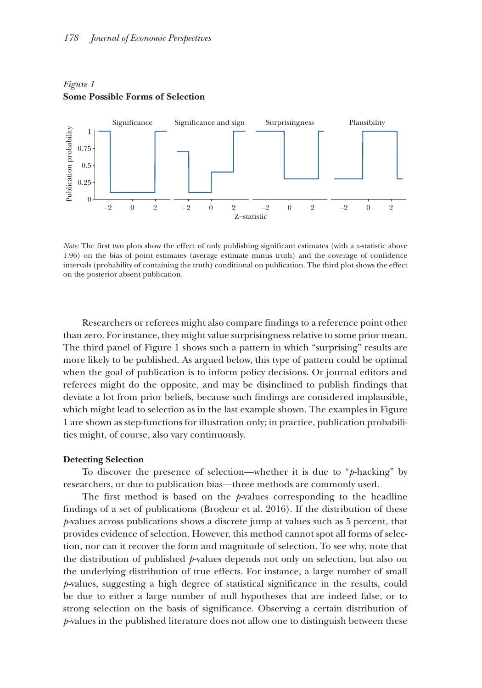

## *Figure 1*  **Some Possible Forms of Selection**

*Note:* The first two plots show the effect of only publishing significant estimates (with a *z*-statistic above 1.96) on the bias of point estimates (average estimate minus truth) and the coverage of confidence intervals (probability of containing the truth) conditional on publication. The third plot shows the effect on the posterior absent publication.

Researchers or referees might also compare findings to a reference point other than zero. For instance, they might value surprisingness relative to some prior mean. The third panel of Figure 1 shows such a pattern in which "surprising" results are more likely to be published. As argued below, this type of pattern could be optimal when the goal of publication is to inform policy decisions. Or journal editors and referees might do the opposite, and may be disinclined to publish findings that deviate a lot from prior beliefs, because such findings are considered implausible, which might lead to selection as in the last example shown. The examples in Figure 1 are shown as step-functions for illustration only; in practice, publication probabilities might, of course, also vary continuously.

#### **Detecting Selection**

To discover the presence of selection—whether it is due to "*p*-hacking" by researchers, or due to publication bias—three methods are commonly used.

The first method is based on the *p*-values corresponding to the headline findings of a set of publications (Brodeur et al. 2016). If the distribution of these *p*-values across publications shows a discrete jump at values such as 5 percent, that provides evidence of selection. However, this method cannot spot all forms of selection, nor can it recover the form and magnitude of selection. To see why, note that the distribution of published *p*-values depends not only on selection, but also on the underlying distribution of true effects. For instance, a large number of small *p*-values, suggesting a high degree of statistical significance in the results, could be due to either a large number of null hypotheses that are indeed false, or to strong selection on the basis of significance. Observing a certain distribution of *p*-values in the published literature does not allow one to distinguish between these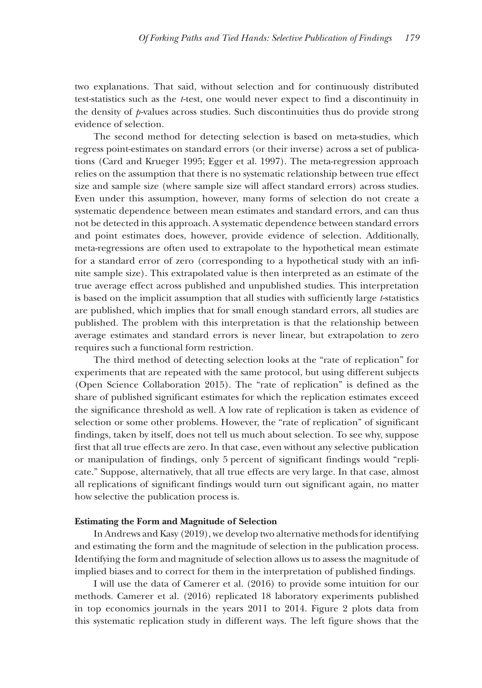two explanations. That said, without selection and for continuously distributed test-statistics such as the *t*-test, one would never expect to find a discontinuity in the density of *p*-values across studies. Such discontinuities thus do provide strong evidence of selection.

The second method for detecting selection is based on meta-studies, which regress point-estimates on standard errors (or their inverse) across a set of publications (Card and Krueger 1995; Egger et al. 1997). The meta-regression approach relies on the assumption that there is no systematic relationship between true effect size and sample size (where sample size will affect standard errors) across studies. Even under this assumption, however, many forms of selection do not create a systematic dependence between mean estimates and standard errors, and can thus not be detected in this approach. A systematic dependence between standard errors and point estimates does, however, provide evidence of selection. Additionally, meta-regressions are often used to extrapolate to the hypothetical mean estimate for a standard error of zero (corresponding to a hypothetical study with an infinite sample size). This extrapolated value is then interpreted as an estimate of the true average effect across published and unpublished studies. This interpretation is based on the implicit assumption that all studies with sufficiently large *t*-statistics are published, which implies that for small enough standard errors, all studies are published. The problem with this interpretation is that the relationship between average estimates and standard errors is never linear, but extrapolation to zero requires such a functional form restriction.

The third method of detecting selection looks at the "rate of replication" for experiments that are repeated with the same protocol, but using different subjects (Open Science Collaboration 2015). The "rate of replication" is defined as the share of published significant estimates for which the replication estimates exceed the significance threshold as well. A low rate of replication is taken as evidence of selection or some other problems. However, the "rate of replication" of significant findings, taken by itself, does not tell us much about selection. To see why, suppose first that all true effects are zero. In that case, even without any selective publication or manipulation of findings, only 5 percent of significant findings would "replicate." Suppose, alternatively, that all true effects are very large. In that case, almost all replications of significant findings would turn out significant again, no matter how selective the publication process is.

#### **Estimating the Form and Magnitude of Selection**

In Andrews and Kasy (2019), we develop two alternative methods for identifying and estimating the form and the magnitude of selection in the publication process. Identifying the form and magnitude of selection allows us to assess the magnitude of implied biases and to correct for them in the interpretation of published findings.

I will use the data of Camerer et al. (2016) to provide some intuition for our methods. Camerer et al. (2016) replicated 18 laboratory experiments published in top economics journals in the years 2011 to 2014. Figure 2 plots data from this systematic replication study in different ways. The left figure shows that the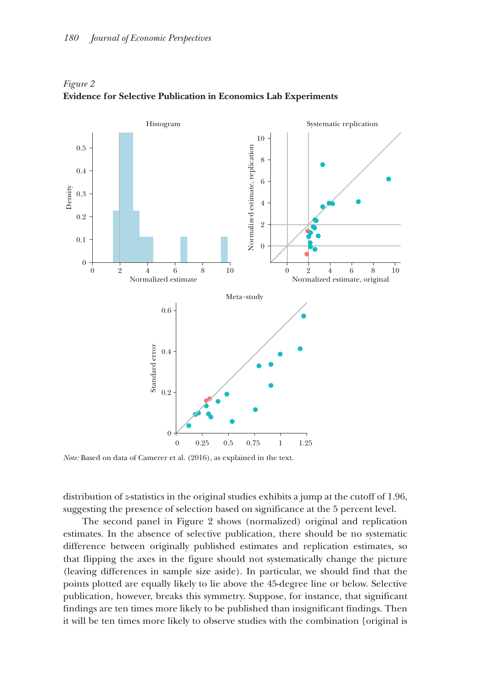

*Figure 2*  **Evidence for Selective Publication in Economics Lab Experiments**

*Note:* Based on data of Camerer et al. (2016), as explained in the text.

distribution of *z*-statistics in the original studies exhibits a jump at the cutoff of 1.96, suggesting the presence of selection based on significance at the 5 percent level.

The second panel in Figure 2 shows (normalized) original and replication estimates. In the absence of selective publication, there should be no systematic difference between originally published estimates and replication estimates, so that flipping the axes in the figure should not systematically change the picture (leaving differences in sample size aside). In particular, we should find that the points plotted are equally likely to lie above the 45-degree line or below. Selective publication, however, breaks this symmetry. Suppose, for instance, that significant findings are ten times more likely to be published than insignificant findings. Then it will be ten times more likely to observe studies with the combination [original is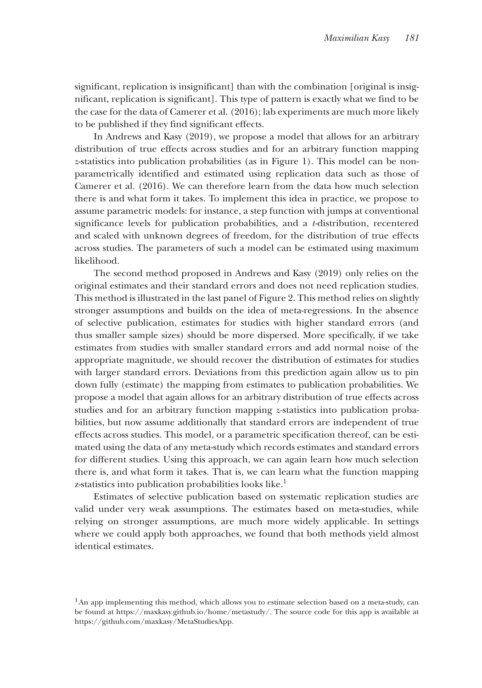significant, replication is insignificant] than with the combination [original is insignificant, replication is significant]. This type of pattern is exactly what we find to be the case for the data of Camerer et al. (2016); lab experiments are much more likely to be published if they find significant effects.

In Andrews and Kasy (2019), we propose a model that allows for an arbitrary distribution of true effects across studies and for an arbitrary function mapping *z*-statistics into publication probabilities (as in Figure 1). This model can be nonparametrically identified and estimated using replication data such as those of Camerer et al. (2016). We can therefore learn from the data how much selection there is and what form it takes. To implement this idea in practice, we propose to assume parametric models: for instance, a step function with jumps at conventional significance levels for publication probabilities, and a *t*-distribution, recentered and scaled with unknown degrees of freedom, for the distribution of true effects across studies. The parameters of such a model can be estimated using maximum likelihood.

The second method proposed in Andrews and Kasy (2019) only relies on the original estimates and their standard errors and does not need replication studies. This method is illustrated in the last panel of Figure 2. This method relies on slightly stronger assumptions and builds on the idea of meta-regressions. In the absence of selective publication, estimates for studies with higher standard errors (and thus smaller sample sizes) should be more dispersed. More specifically, if we take estimates from studies with smaller standard errors and add normal noise of the appropriate magnitude, we should recover the distribution of estimates for studies with larger standard errors. Deviations from this prediction again allow us to pin down fully (estimate) the mapping from estimates to publication probabilities. We propose a model that again allows for an arbitrary distribution of true effects across studies and for an arbitrary function mapping *z-*statistics into publication probabilities, but now assume additionally that standard errors are independent of true effects across studies. This model, or a parametric specification thereof, can be estimated using the data of any meta-study which records estimates and standard errors for different studies. Using this approach, we can again learn how much selection there is, and what form it takes. That is, we can learn what the function mapping z-statistics into publication probabilities looks like.<sup>1</sup>

Estimates of selective publication based on systematic replication studies are valid under very weak assumptions. The estimates based on meta-studies, while relying on stronger assumptions, are much more widely applicable. In settings where we could apply both approaches, we found that both methods yield almost identical estimates.

<sup>&</sup>lt;sup>1</sup>An app implementing this method, which allows you to estimate selection based on a meta-study, can be found at https://maxkasy.github.io/home/metastudy/. The source code for this app is available at https://github.com/maxkasy/MetaStudiesApp.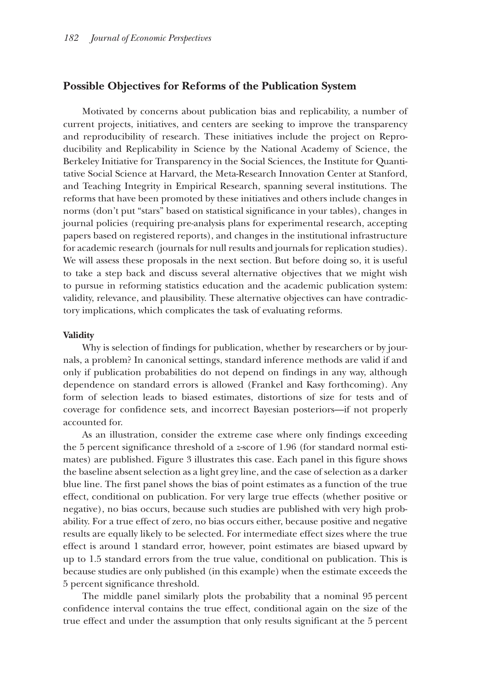## **Possible Objectives for Reforms of the Publication System**

Motivated by concerns about publication bias and replicability, a number of current projects, initiatives, and centers are seeking to improve the transparency and reproducibility of research. These initiatives include the project on Reproducibility and Replicability in Science by the National Academy of Science, the Berkeley Initiative for Transparency in the Social Sciences, the Institute for Quantitative Social Science at Harvard, the Meta-Research Innovation Center at Stanford, and Teaching Integrity in Empirical Research, spanning several institutions. The reforms that have been promoted by these initiatives and others include changes in norms (don't put "stars" based on statistical significance in your tables), changes in journal policies (requiring pre-analysis plans for experimental research, accepting papers based on registered reports), and changes in the institutional infrastructure for academic research (journals for null results and journals for replication studies). We will assess these proposals in the next section. But before doing so, it is useful to take a step back and discuss several alternative objectives that we might wish to pursue in reforming statistics education and the academic publication system: validity, relevance, and plausibility. These alternative objectives can have contradictory implications, which complicates the task of evaluating reforms.

#### **Validity alidity**

Why is selection of findings for publication, whether by researchers or by journals, a problem? In canonical settings, standard inference methods are valid if and only if publication probabilities do not depend on findings in any way, although dependence on standard errors is allowed (Frankel and Kasy forthcoming). Any form of selection leads to biased estimates, distortions of size for tests and of coverage for confidence sets, and incorrect Bayesian posteriors—if not properly accounted for.

As an illustration, consider the extreme case where only findings exceeding the 5 percent significance threshold of a *z*-score of 1.96 (for standard normal estimates) are published. Figure 3 illustrates this case. Each panel in this figure shows the baseline absent selection as a light grey line, and the case of selection as a darker blue line. The first panel shows the bias of point estimates as a function of the true effect, conditional on publication. For very large true effects (whether positive or negative), no bias occurs, because such studies are published with very high probability. For a true effect of zero, no bias occurs either, because positive and negative results are equally likely to be selected. For intermediate effect sizes where the true effect is around 1 standard error, however, point estimates are biased upward by up to 1.5 standard errors from the true value, conditional on publication. This is because studies are only published (in this example) when the estimate exceeds the 5 percent significance threshold.

The middle panel similarly plots the probability that a nominal 95 percent confidence interval contains the true effect, conditional again on the size of the true effect and under the assumption that only results significant at the 5 percent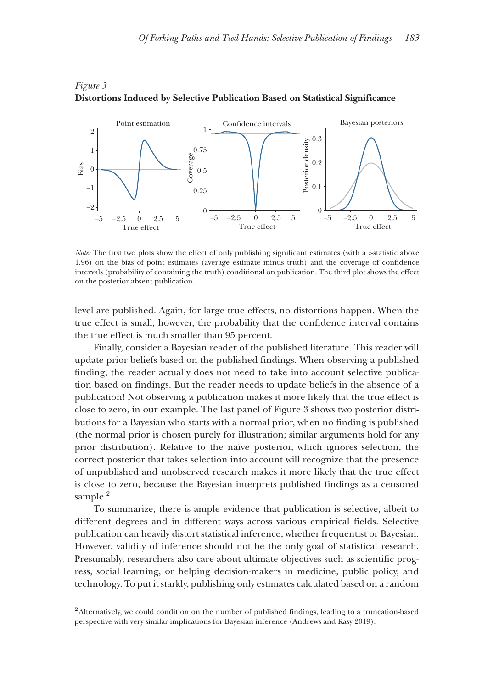

*Figure 3*  **Distortions Induced by Selective Publication Based on Statistical Significance**

*Note:* The first two plots show the effect of only publishing significant estimates (with a *z*-statistic above 1.96) on the bias of point estimates (average estimate minus truth) and the coverage of confidence intervals (probability of containing the truth) conditional on publication. The third plot shows the effect on the posterior absent publication.

level are published. Again, for large true effects, no distortions happen. When the true effect is small, however, the probability that the confidence interval contains the true effect is much smaller than 95 percent.

Finally, consider a Bayesian reader of the published literature. This reader will update prior beliefs based on the published findings. When observing a published finding, the reader actually does not need to take into account selective publication based on findings. But the reader needs to update beliefs in the absence of a publication! Not observing a publication makes it more likely that the true effect is close to zero, in our example. The last panel of Figure 3 shows two posterior distributions for a Bayesian who starts with a normal prior, when no finding is published (the normal prior is chosen purely for illustration; similar arguments hold for any prior distribution). Relative to the naïve posterior, which ignores selection, the correct posterior that takes selection into account will recognize that the presence of unpublished and unobserved research makes it more likely that the true effect is close to zero, because the Bayesian interprets published findings as a censored sample.<sup>2</sup>

To summarize, there is ample evidence that publication is selective, albeit to different degrees and in different ways across various empirical fields. Selective publication can heavily distort statistical inference, whether frequentist or Bayesian. However, validity of inference should not be the only goal of statistical research. Presumably, researchers also care about ultimate objectives such as scientific progress, social learning, or helping decision-makers in medicine, public policy, and technology. To put it starkly, publishing only estimates calculated based on a random

<sup>2</sup>Alternatively, we could condition on the number of published findings, leading to a truncation-based perspective with very similar implications for Bayesian inference (Andrews and Kasy 2019).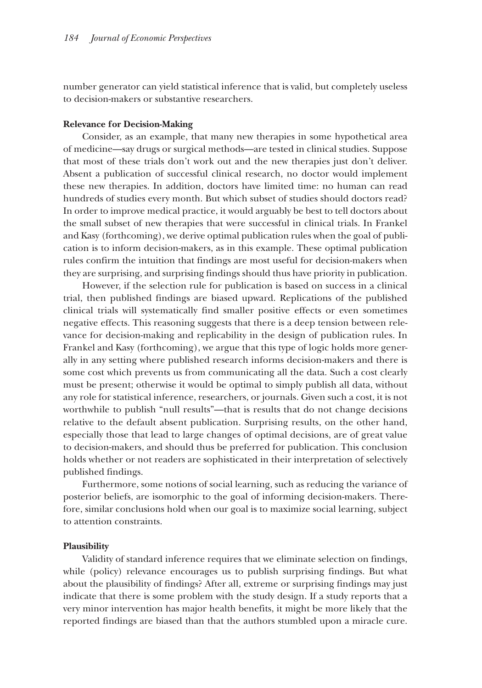number generator can yield statistical inference that is valid, but completely useless to decision-makers or substantive researchers.

#### **Relevance for Decision-Making**

Consider, as an example, that many new therapies in some hypothetical area of medicine—say drugs or surgical methods—are tested in clinical studies. Suppose that most of these trials don't work out and the new therapies just don't deliver. Absent a publication of successful clinical research, no doctor would implement these new therapies. In addition, doctors have limited time: no human can read hundreds of studies every month. But which subset of studies should doctors read? In order to improve medical practice, it would arguably be best to tell doctors about the small subset of new therapies that were successful in clinical trials. In Frankel and Kasy (forthcoming), we derive optimal publication rules when the goal of publication is to inform decision-makers, as in this example. These optimal publication rules confirm the intuition that findings are most useful for decision-makers when they are surprising, and surprising findings should thus have priority in publication.

However, if the selection rule for publication is based on success in a clinical trial, then published findings are biased upward. Replications of the published clinical trials will systematically find smaller positive effects or even sometimes negative effects. This reasoning suggests that there is a deep tension between relevance for decision-making and replicability in the design of publication rules. In Frankel and Kasy (forthcoming), we argue that this type of logic holds more generally in any setting where published research informs decision-makers and there is some cost which prevents us from communicating all the data. Such a cost clearly must be present; otherwise it would be optimal to simply publish all data, without any role for statistical inference, researchers, or journals. Given such a cost, it is not worthwhile to publish "null results"—that is results that do not change decisions relative to the default absent publication. Surprising results, on the other hand, especially those that lead to large changes of optimal decisions, are of great value to decision-makers, and should thus be preferred for publication. This conclusion holds whether or not readers are sophisticated in their interpretation of selectively published findings.

Furthermore, some notions of social learning, such as reducing the variance of posterior beliefs, are isomorphic to the goal of informing decision-makers. Therefore, similar conclusions hold when our goal is to maximize social learning, subject to attention constraints.

#### **Plausibility**

Validity of standard inference requires that we eliminate selection on findings, while (policy) relevance encourages us to publish surprising findings. But what about the plausibility of findings? After all, extreme or surprising findings may just indicate that there is some problem with the study design. If a study reports that a very minor intervention has major health benefits, it might be more likely that the reported findings are biased than that the authors stumbled upon a miracle cure.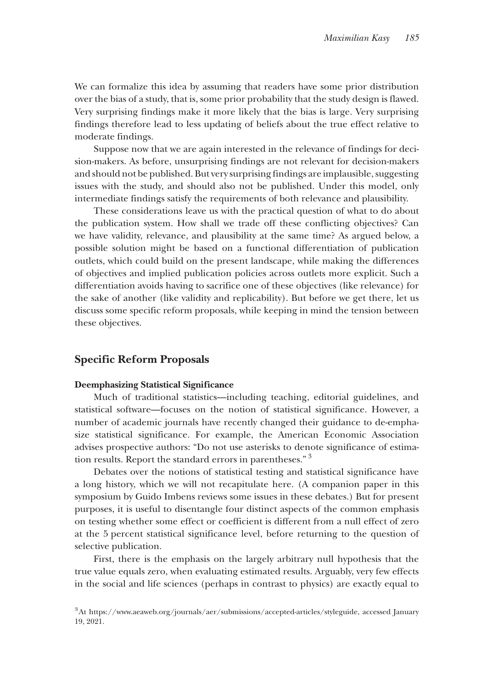We can formalize this idea by assuming that readers have some prior distribution over the bias of a study, that is, some prior probability that the study design is flawed. Very surprising findings make it more likely that the bias is large. Very surprising findings therefore lead to less updating of beliefs about the true effect relative to moderate findings.

Suppose now that we are again interested in the relevance of findings for decision-makers. As before, unsurprising findings are not relevant for decision-makers and should not be published. But very surprising findings are implausible, suggesting issues with the study, and should also not be published. Under this model, only intermediate findings satisfy the requirements of both relevance and plausibility.

These considerations leave us with the practical question of what to do about the publication system. How shall we trade off these conflicting objectives? Can we have validity, relevance, and plausibility at the same time? As argued below, a possible solution might be based on a functional differentiation of publication outlets, which could build on the present landscape, while making the differences of objectives and implied publication policies across outlets more explicit. Such a differentiation avoids having to sacrifice one of these objectives (like relevance) for the sake of another (like validity and replicability). But before we get there, let us discuss some specific reform proposals, while keeping in mind the tension between these objectives.

## $S$  **pecific Reform Proposals**

## **Deemphasizing Statistical Significance**

Much of traditional statistics—including teaching, editorial guidelines, and statistical software—focuses on the notion of statistical significance. However, a number of academic journals have recently changed their guidance to de-emphasize statistical significance. For example, the American Economic Association advises prospective authors: "Do not use asterisks to denote significance of estimation results. Report the standard errors in parentheses."<sup>3</sup>

Debates over the notions of statistical testing and statistical significance have a long history, which we will not recapitulate here. (A companion paper in this symposium by Guido Imbens reviews some issues in these debates.) But for present purposes, it is useful to disentangle four distinct aspects of the common emphasis on testing whether some effect or coefficient is different from a null effect of zero at the 5 percent statistical significance level, before returning to the question of selective publication.

First, there is the emphasis on the largely arbitrary null hypothesis that the true value equals zero, when evaluating estimated results. Arguably, very few effects in the social and life sciences (perhaps in contrast to physics) are exactly equal to

<sup>3</sup>At https://www.aeaweb.org/journals/aer/submissions/accepted-articles/styleguide, accessed January 19, 2021.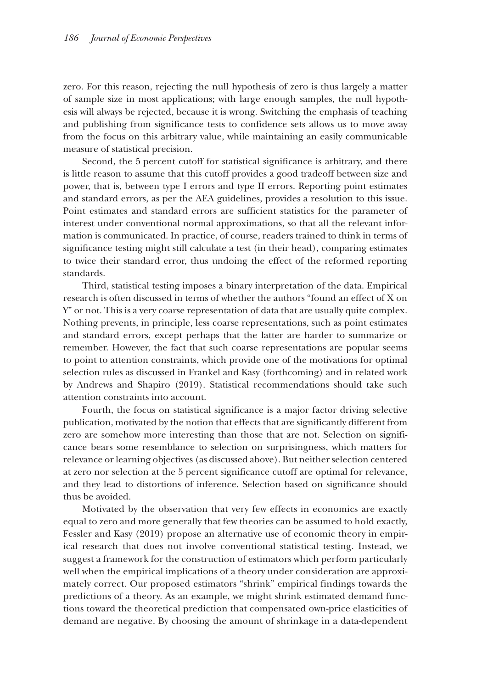zero. For this reason, rejecting the null hypothesis of zero is thus largely a matter of sample size in most applications; with large enough samples, the null hypothesis will always be rejected, because it is wrong. Switching the emphasis of teaching and publishing from significance tests to confidence sets allows us to move away from the focus on this arbitrary value, while maintaining an easily communicable measure of statistical precision.

Second, the 5 percent cutoff for statistical significance is arbitrary, and there is little reason to assume that this cutoff provides a good tradeoff between size and power, that is, between type I errors and type II errors. Reporting point estimates and standard errors, as per the AEA guidelines, provides a resolution to this issue. Point estimates and standard errors are sufficient statistics for the parameter of interest under conventional normal approximations, so that all the relevant information is communicated. In practice, of course, readers trained to think in terms of significance testing might still calculate a test (in their head), comparing estimates to twice their standard error, thus undoing the effect of the reformed reporting standards.

Third, statistical testing imposes a binary interpretation of the data. Empirical research is often discussed in terms of whether the authors "found an effect of X on Y" or not. This is a very coarse representation of data that are usually quite complex. Nothing prevents, in principle, less coarse representations, such as point estimates and standard errors, except perhaps that the latter are harder to summarize or remember. However, the fact that such coarse representations are popular seems to point to attention constraints, which provide one of the motivations for optimal selection rules as discussed in Frankel and Kasy (forthcoming) and in related work by Andrews and Shapiro (2019). Statistical recommendations should take such attention constraints into account.

Fourth, the focus on statistical significance is a major factor driving selective publication, motivated by the notion that effects that are significantly different from zero are somehow more interesting than those that are not. Selection on significance bears some resemblance to selection on surprisingness, which matters for relevance or learning objectives (as discussed above). But neither selection centered at zero nor selection at the 5 percent significance cutoff are optimal for relevance, and they lead to distortions of inference. Selection based on significance should thus be avoided.

Motivated by the observation that very few effects in economics are exactly equal to zero and more generally that few theories can be assumed to hold exactly, Fessler and Kasy (2019) propose an alternative use of economic theory in empirical research that does not involve conventional statistical testing. Instead, we suggest a framework for the construction of estimators which perform particularly well when the empirical implications of a theory under consideration are approximately correct. Our proposed estimators "shrink" empirical findings towards the predictions of a theory. As an example, we might shrink estimated demand functions toward the theoretical prediction that compensated own-price elasticities of demand are negative. By choosing the amount of shrinkage in a data-dependent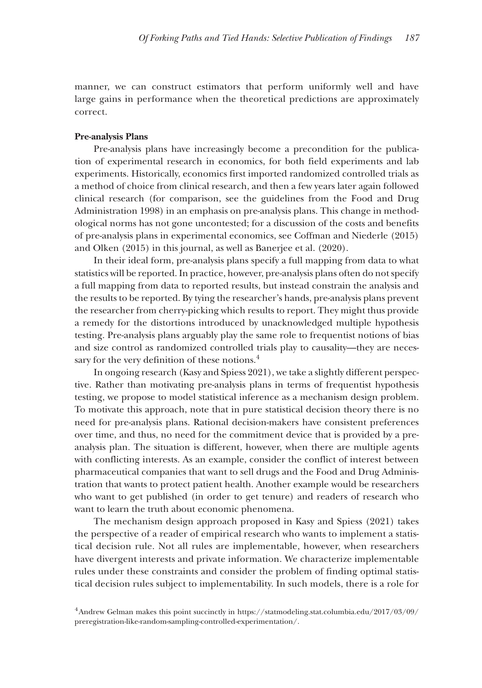manner, we can construct estimators that perform uniformly well and have large gains in performance when the theoretical predictions are approximately correct.

#### **Pre-analysis Plans**

Pre-analysis plans have increasingly become a precondition for the publication of experimental research in economics, for both field experiments and lab experiments. Historically, economics first imported randomized controlled trials as a method of choice from clinical research, and then a few years later again followed clinical research (for comparison, see the guidelines from the Food and Drug Administration 1998) in an emphasis on pre-analysis plans. This change in methodological norms has not gone uncontested; for a discussion of the costs and benefits of pre-analysis plans in experimental economics, see Coffman and Niederle (2015) and Olken (2015) in this journal, as well as Banerjee et al. (2020).

In their ideal form, pre-analysis plans specify a full mapping from data to what statistics will be reported. In practice, however, pre-analysis plans often do not specify a full mapping from data to reported results, but instead constrain the analysis and the results to be reported. By tying the researcher's hands, pre-analysis plans prevent the researcher from cherry-picking which results to report. They might thus provide a remedy for the distortions introduced by unacknowledged multiple hypothesis testing. Pre-analysis plans arguably play the same role to frequentist notions of bias and size control as randomized controlled trials play to causality—they are necessary for the very definition of these notions.<sup>4</sup>

In ongoing research (Kasy and Spiess 2021), we take a slightly different perspective. Rather than motivating pre-analysis plans in terms of frequentist hypothesis testing, we propose to model statistical inference as a mechanism design problem. To motivate this approach, note that in pure statistical decision theory there is no need for pre-analysis plans. Rational decision-makers have consistent preferences over time, and thus, no need for the commitment device that is provided by a preanalysis plan. The situation is different, however, when there are multiple agents with conflicting interests. As an example, consider the conflict of interest between pharmaceutical companies that want to sell drugs and the Food and Drug Administration that wants to protect patient health. Another example would be researchers who want to get published (in order to get tenure) and readers of research who want to learn the truth about economic phenomena.

The mechanism design approach proposed in Kasy and Spiess (2021) takes the perspective of a reader of empirical research who wants to implement a statistical decision rule. Not all rules are implementable, however, when researchers have divergent interests and private information. We characterize implementable rules under these constraints and consider the problem of finding optimal statistical decision rules subject to implementability. In such models, there is a role for

<sup>4</sup>Andrew Gelman makes this point succinctly in https://statmodeling.stat.columbia.edu/2017/03/09/ preregistration-like-random-sampling-controlled-experimentation/.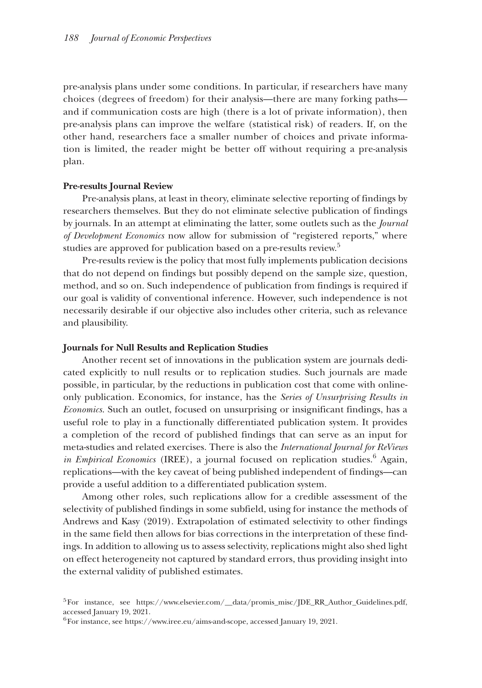pre-analysis plans under some conditions. In particular, if researchers have many choices (degrees of freedom) for their analysis—there are many forking paths and if communication costs are high (there is a lot of private information), then pre-analysis plans can improve the welfare (statistical risk) of readers. If, on the other hand, researchers face a smaller number of choices and private information is limited, the reader might be better off without requiring a pre-analysis plan.

#### **Pre-results Journal Review**

Pre-analysis plans, at least in theory, eliminate selective reporting of findings by researchers themselves. But they do not eliminate selective publication of findings by journals. In an attempt at eliminating the latter, some outlets such as the *Journal of Development Economics* now allow for submission of "registered reports," where studies are approved for publication based on a pre-results review.<sup>5</sup>

Pre-results review is the policy that most fully implements publication decisions that do not depend on findings but possibly depend on the sample size, question, method, and so on. Such independence of publication from findings is required if our goal is validity of conventional inference. However, such independence is not necessarily desirable if our objective also includes other criteria, such as relevance and plausibility.

#### **Journals for Null Results and Replication Studies**

Another recent set of innovations in the publication system are journals dedicated explicitly to null results or to replication studies. Such journals are made possible, in particular, by the reductions in publication cost that come with onlineonly publication. Economics, for instance, has the *Series of Unsurprising Results in Economics*. Such an outlet, focused on unsurprising or insignificant findings, has a useful role to play in a functionally differentiated publication system. It provides a completion of the record of published findings that can serve as an input for meta-studies and related exercises. There is also the *International Journal for ReViews*  in Empirical Economics (IREE), a journal focused on replication studies.<sup>6</sup> Again, replications—with the key caveat of being published independent of findings—can provide a useful addition to a differentiated publication system.

Among other roles, such replications allow for a credible assessment of the selectivity of published findings in some subfield, using for instance the methods of Andrews and Kasy (2019). Extrapolation of estimated selectivity to other findings in the same field then allows for bias corrections in the interpretation of these findings. In addition to allowing us to assess selectivity, replications might also shed light on effect heterogeneity not captured by standard errors, thus providing insight into the external validity of published estimates.

<sup>5</sup>For instance, see https://www.elsevier.com/\_\_data/promis\_misc/JDE\_RR\_Author\_Guidelines.pdf, accessed January 19, 2021.

<sup>6</sup>For instance, see https://www.iree.eu/aims-and-scope, accessed January 19, 2021.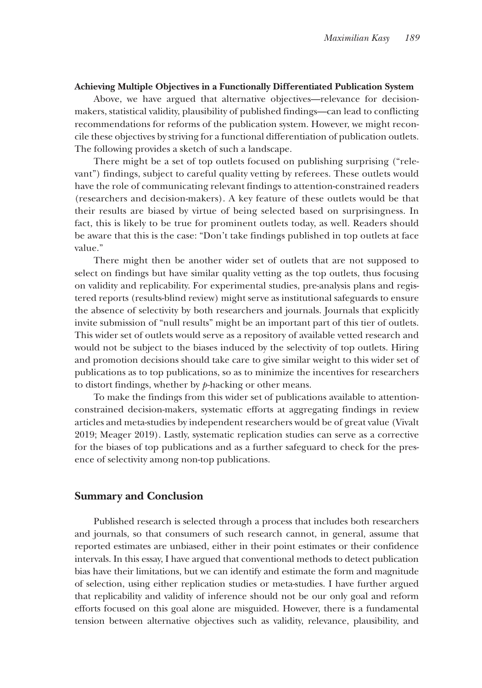#### **Achieving Multiple Objectives in a Functionally Dif Differentiated Publication System ferentiated**

Above, we have argued that alternative objectives—relevance for decisionmakers, statistical validity, plausibility of published findings—can lead to conflicting recommendations for reforms of the publication system. However, we might reconcile these objectives by striving for a functional differentiation of publication outlets. The following provides a sketch of such a landscape.

There might be a set of top outlets focused on publishing surprising ("relevant") findings, subject to careful quality vetting by referees. These outlets would have the role of communicating relevant findings to attention-constrained readers (researchers and decision-makers). A key feature of these outlets would be that their results are biased by virtue of being selected based on surprisingness. In fact, this is likely to be true for prominent outlets today, as well. Readers should be aware that this is the case: "Don't take findings published in top outlets at face value."

There might then be another wider set of outlets that are not supposed to select on findings but have similar quality vetting as the top outlets, thus focusing on validity and replicability. For experimental studies, pre-analysis plans and registered reports (results-blind review) might serve as institutional safeguards to ensure the absence of selectivity by both researchers and journals. Journals that explicitly invite submission of "null results" might be an important part of this tier of outlets. This wider set of outlets would serve as a repository of available vetted research and would not be subject to the biases induced by the selectivity of top outlets. Hiring and promotion decisions should take care to give similar weight to this wider set of publications as to top publications, so as to minimize the incentives for researchers to distort findings, whether by *p*-hacking or other means.

To make the findings from this wider set of publications available to attentionconstrained decision-makers, systematic efforts at aggregating findings in review articles and meta-studies by independent researchers would be of great value (Vivalt 2019; Meager 2019). Lastly, systematic replication studies can serve as a corrective for the biases of top publications and as a further safeguard to check for the presence of selectivity among non-top publications.

## **Summary and Conclusion**

Published research is selected through a process that includes both researchers and journals, so that consumers of such research cannot, in general, assume that reported estimates are unbiased, either in their point estimates or their confidence intervals. In this essay, I have argued that conventional methods to detect publication bias have their limitations, but we can identify and estimate the form and magnitude of selection, using either replication studies or meta-studies. I have further argued that replicability and validity of inference should not be our only goal and reform efforts focused on this goal alone are misguided. However, there is a fundamental tension between alternative objectives such as validity, relevance, plausibility, and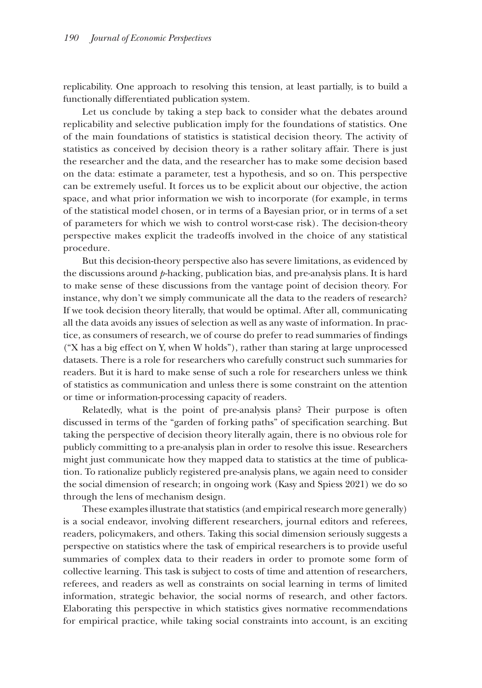replicability. One approach to resolving this tension, at least partially, is to build a functionally differentiated publication system.

Let us conclude by taking a step back to consider what the debates around replicability and selective publication imply for the foundations of statistics. One of the main foundations of statistics is statistical decision theory. The activity of statistics as conceived by decision theory is a rather solitary affair. There is just the researcher and the data, and the researcher has to make some decision based on the data: estimate a parameter, test a hypothesis, and so on. This perspective can be extremely useful. It forces us to be explicit about our objective, the action space, and what prior information we wish to incorporate (for example, in terms of the statistical model chosen, or in terms of a Bayesian prior, or in terms of a set of parameters for which we wish to control worst-case risk). The decision-theory perspective makes explicit the tradeoffs involved in the choice of any statistical procedure.

But this decision-theory perspective also has severe limitations, as evidenced by the discussions around *p*-hacking, publication bias, and pre-analysis plans. It is hard to make sense of these discussions from the vantage point of decision theory. For instance, why don't we simply communicate all the data to the readers of research? If we took decision theory literally, that would be optimal. After all, communicating all the data avoids any issues of selection as well as any waste of information. In practice, as consumers of research, we of course do prefer to read summaries of findings ("X has a big effect on Y, when W holds"), rather than staring at large unprocessed datasets. There is a role for researchers who carefully construct such summaries for readers. But it is hard to make sense of such a role for researchers unless we think of statistics as communication and unless there is some constraint on the attention or time or information-processing capacity of readers.

Relatedly, what is the point of pre-analysis plans? Their purpose is often discussed in terms of the "garden of forking paths" of specification searching. But taking the perspective of decision theory literally again, there is no obvious role for publicly committing to a pre-analysis plan in order to resolve this issue. Researchers might just communicate how they mapped data to statistics at the time of publication. To rationalize publicly registered pre-analysis plans, we again need to consider the social dimension of research; in ongoing work (Kasy and Spiess 2021) we do so through the lens of mechanism design.

These examples illustrate that statistics (and empirical research more generally) is a social endeavor, involving different researchers, journal editors and referees, readers, policymakers, and others. Taking this social dimension seriously suggests a perspective on statistics where the task of empirical researchers is to provide useful summaries of complex data to their readers in order to promote some form of collective learning. This task is subject to costs of time and attention of researchers, referees, and readers as well as constraints on social learning in terms of limited information, strategic behavior, the social norms of research, and other factors. Elaborating this perspective in which statistics gives normative recommendations for empirical practice, while taking social constraints into account, is an exciting